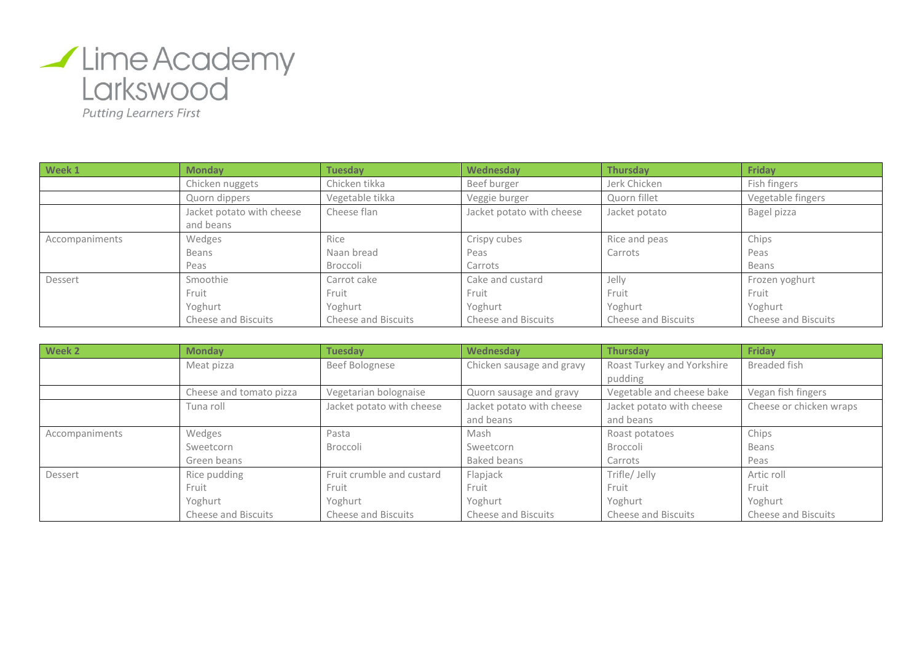

**Putting Learners First** 

| Week 1         | <b>Monday</b>             | <b>Tuesday</b>      | Wednesday                 | <b>Thursday</b>            | Friday                     |
|----------------|---------------------------|---------------------|---------------------------|----------------------------|----------------------------|
|                | Chicken nuggets           | Chicken tikka       | Beef burger               | Jerk Chicken               | Fish fingers               |
|                | Quorn dippers             | Vegetable tikka     | Veggie burger             | Quorn fillet               | Vegetable fingers          |
|                | Jacket potato with cheese | Cheese flan         | Jacket potato with cheese | Jacket potato              | Bagel pizza                |
|                | and beans                 |                     |                           |                            |                            |
| Accompaniments | Wedges                    | Rice                | Crispy cubes              | Rice and peas              | Chips                      |
|                | Beans                     | Naan bread          | Peas                      | Carrots                    | Peas                       |
|                | Peas                      | Broccoli            | Carrots                   |                            | Beans                      |
| Dessert        | Smoothie                  | Carrot cake         | Cake and custard          | Jelly                      | Frozen yoghurt             |
|                | Fruit                     | Fruit               | Fruit                     | Fruit                      | Fruit                      |
|                | Yoghurt                   | Yoghurt             | Yoghurt                   | Yoghurt                    | Yoghurt                    |
|                | Cheese and Biscuits       | Cheese and Biscuits | Cheese and Biscuits       | <b>Cheese and Biscuits</b> | <b>Cheese and Biscuits</b> |

| Week 2         | <b>Monday</b>              | <b>Tuesday</b>             | Wednesday                 | <b>Thursday</b>            | Friday                  |
|----------------|----------------------------|----------------------------|---------------------------|----------------------------|-------------------------|
|                | Meat pizza                 | Beef Bolognese             | Chicken sausage and gravy | Roast Turkey and Yorkshire | Breaded fish            |
|                |                            |                            |                           | pudding                    |                         |
|                | Cheese and tomato pizza    | Vegetarian bolognaise      | Quorn sausage and gravy   | Vegetable and cheese bake  | Vegan fish fingers      |
|                | Tuna roll                  | Jacket potato with cheese  | Jacket potato with cheese | Jacket potato with cheese  | Cheese or chicken wraps |
|                |                            |                            | and beans                 | and beans                  |                         |
| Accompaniments | Wedges                     | Pasta                      | Mash                      | Roast potatoes             | Chips                   |
|                | Sweetcorn                  | <b>Broccoli</b>            | Sweetcorn                 | Broccoli                   | Beans                   |
|                | Green beans                |                            | Baked beans               | Carrots                    | Peas                    |
| Dessert        | Rice pudding               | Fruit crumble and custard  | Flapjack                  | Trifle/Jelly               | Artic roll              |
|                | Fruit                      | Fruit                      | Fruit                     | Fruit                      | Fruit                   |
|                | Yoghurt                    | Yoghurt                    | Yoghurt                   | Yoghurt                    | Yoghurt                 |
|                | <b>Cheese and Biscuits</b> | <b>Cheese and Biscuits</b> | Cheese and Biscuits       | <b>Cheese and Biscuits</b> | Cheese and Biscuits     |